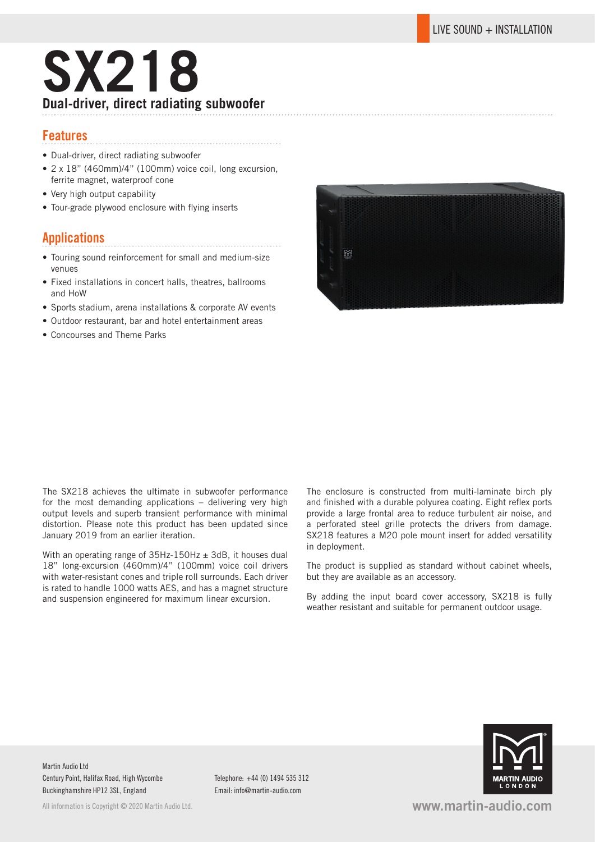# **SX218 Dual-driver, direct radiating subwoofer**

### **Features**

- Dual-driver, direct radiating subwoofer
- 2 x 18" (460mm)/4" (100mm) voice coil, long excursion, ferrite magnet, waterproof cone
- Very high output capability
- Tour-grade plywood enclosure with flying inserts

## **Applications**

• Touring sound reinforcement for small and medium-size venues

- Fixed installations in concert halls, theatres, ballrooms and HoW
- Sports stadium, arena installations & corporate AV events
- Outdoor restaurant, bar and hotel entertainment areas
- Concourses and Theme Parks



The SX218 achieves the ultimate in subwoofer performance for the most demanding applications – delivering very high output levels and superb transient performance with minimal distortion. Please note this product has been updated since January 2019 from an earlier iteration.

With an operating range of  $35Hz-150Hz \pm 3dB$ , it houses dual 18" long-excursion (460mm)/4" (100mm) voice coil drivers with water-resistant cones and triple roll surrounds. Each driver is rated to handle 1000 watts AES, and has a magnet structure and suspension engineered for maximum linear excursion.

The enclosure is constructed from multi-laminate birch ply and finished with a durable polyurea coating. Eight reflex ports provide a large frontal area to reduce turbulent air noise, and a perforated steel grille protects the drivers from damage. SX218 features a M20 pole mount insert for added versatility in deployment.

The product is supplied as standard without cabinet wheels, but they are available as an accessory.

By adding the input board cover accessory, SX218 is fully weather resistant and suitable for permanent outdoor usage.

Martin Audio Ltd Century Point, Halifax Road, High Wycombe Buckinghamshire HP12 3SL, England

Email: info@martin-audio.com





**www.martin-audio.com**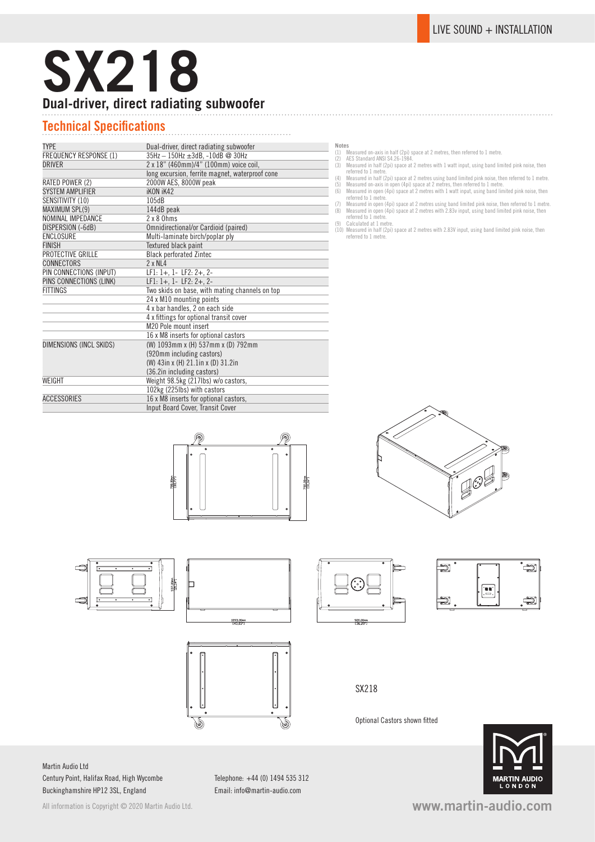# **SX218 Dual-driver, direct radiating subwoofer**

# **Technical Specifications**

| <b>TYPE</b>             | Dual-driver, direct radiating subwoofer         |  |
|-------------------------|-------------------------------------------------|--|
| FREQUENCY RESPONSE (1)  | 35Hz - 150Hz ±3dB, -10dB @ 30Hz                 |  |
| DRIVER                  | 2 x 18" (460mm)/4" (100mm) voice coil,          |  |
|                         | long excursion, ferrite magnet, waterproof cone |  |
| RATED POWER (2)         | 2000W AES, 8000W peak                           |  |
| <b>SYSTEM AMPLIFIER</b> | <b>iKON iK42</b>                                |  |
| SENSITIVITY (10)        | 105dB                                           |  |
| MAXIMUM SPL(9)          | 144dB peak                                      |  |
| NOMINAL IMPEDANCE       | $2 \times 8$ Ohms                               |  |
| DISPERSION (-6dB)       | Omnidirectional/or Cardioid (paired)            |  |
| ENCLOSURE               | Multi-laminate birch/poplar ply                 |  |
| <b>FINISH</b>           | Textured black paint                            |  |
| PROTECTIVE GRILLE       | <b>Black perforated Zintec</b>                  |  |
| CONNECTORS              | $2 \times NL4$                                  |  |
| PIN CONNECTIONS (INPUT) | $LF1: 1+, 1 - LF2: 2+, 2-$                      |  |
| PINS CONNECTIONS (LINK) | $LF1: 1+, 1- LF2: 2+, 2-$                       |  |
| FITTINGS                | Two skids on base, with mating channels on top  |  |
|                         | 24 x M10 mounting points                        |  |
|                         | 4 x bar handles, 2 on each side                 |  |
|                         | 4 x fittings for optional transit cover         |  |
|                         | M <sub>20</sub> Pole mount insert               |  |
|                         | 16 x M8 inserts for optional castors            |  |
| DIMENSIONS (INCL SKIDS) | (W) 1093mm x (H) 537mm x (D) 792mm              |  |
|                         | (920mm including castors)                       |  |
|                         | (W) 43in x (H) 21.1in x (D) 31.2in              |  |
|                         | (36.2in including castors)                      |  |
| WEIGHT                  | Weight 98.5kg (217lbs) w/o castors,             |  |
|                         | 102kg (225lbs) with castors                     |  |
| ACCESSORIES             | 16 x M8 inserts for optional castors,           |  |
|                         | Input Board Cover, Transit Cover                |  |

- -
- **Notes**<br>
(1) Measured on-axis in half (2pi) space at 2 metres, then referred to 1 metre.<br>
(2) AES Standard ANSI S4.26-1984.<br>
(2) AES Standard ANSI S4.26-1984.<br>
(3) Measured in half (2pi) space at 2 metres with 1 watt input
- 
- (7) Measured in open (4pi) space at 2 metres using band limited pink noise, then referred to 1 metre. (8) Measured in open (4pi) space at 2 metres with 2.83v input, using band limited pink noise, then
- referred to 1 metre. (9) Calculated at 1 metre. (10) Measured in half (2pi) space at 2 metres with 2.83V input, using band limited pink noise, then
- referred to 1 metre.





92.00mg



### SX218

Optional Castors shown fitted

**MARTIN AUDIO**<br>LONDON





Martin Audio Ltd Century Point, Halifax Road, High Wycombe Buckinghamshire HP12 3SL, England

Telephone: +44 (0) 1494 535 312 Email: info@martin-audio.com

All information is Copyright © 2020 Martin Audio Ltd.

**www.martin-audio.com**